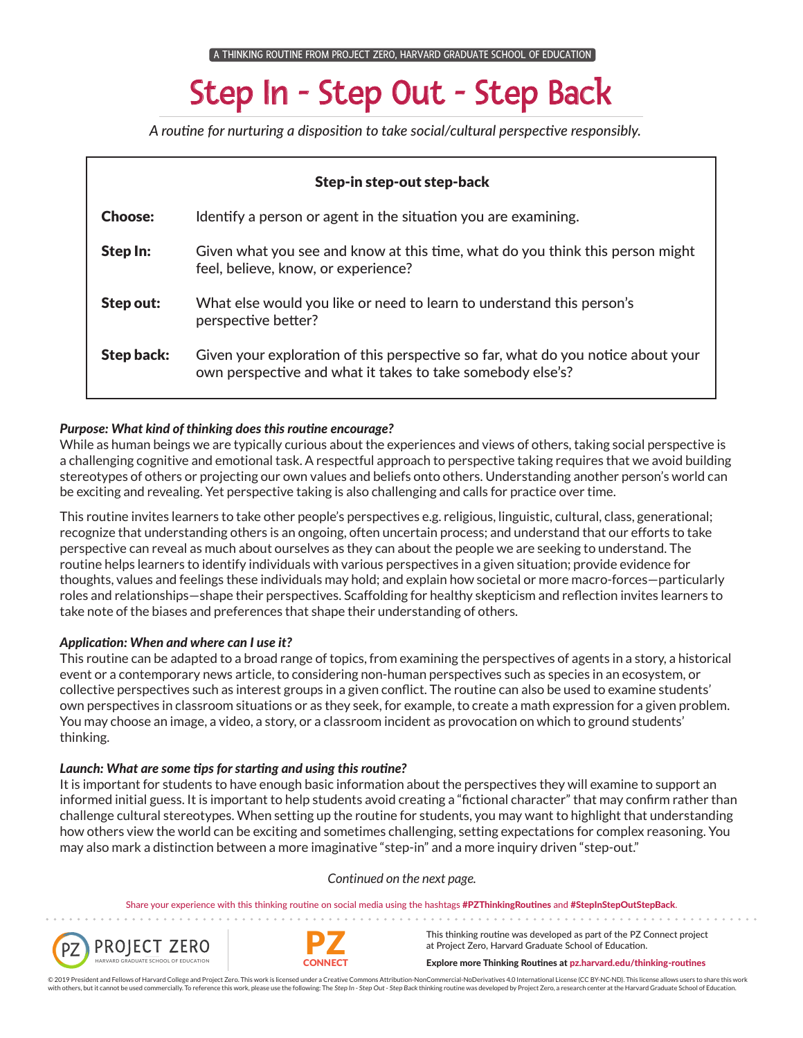# Step In - Step Out - Step Back

*A routine for nurturing a disposition to take social/cultural perspective responsibly.*

| Step-in step-out step-back |                                                                                                                                                |
|----------------------------|------------------------------------------------------------------------------------------------------------------------------------------------|
| <b>Choose:</b>             | Identify a person or agent in the situation you are examining.                                                                                 |
| Step In:                   | Given what you see and know at this time, what do you think this person might<br>feel, believe, know, or experience?                           |
| Step out:                  | What else would you like or need to learn to understand this person's<br>perspective better?                                                   |
| <b>Step back:</b>          | Given your exploration of this perspective so far, what do you notice about your<br>own perspective and what it takes to take somebody else's? |

# *Purpose: What kind of thinking does this routine encourage?*

While as human beings we are typically curious about the experiences and views of others, taking social perspective is a challenging cognitive and emotional task. A respectful approach to perspective taking requires that we avoid building stereotypes of others or projecting our own values and beliefs onto others. Understanding another person's world can be exciting and revealing. Yet perspective taking is also challenging and calls for practice over time.

This routine invites learners to take other people's perspectives e.g. religious, linguistic, cultural, class, generational; recognize that understanding others is an ongoing, often uncertain process; and understand that our efforts to take perspective can reveal as much about ourselves as they can about the people we are seeking to understand. The routine helps learners to identify individuals with various perspectives in a given situation; provide evidence for thoughts, values and feelings these individuals may hold; and explain how societal or more macro-forces—particularly roles and relationships—shape their perspectives. Scaffolding for healthy skepticism and reflection invites learners to take note of the biases and preferences that shape their understanding of others.

# *Application: When and where can I use it?*

This routine can be adapted to a broad range of topics, from examining the perspectives of agents in a story, a historical event or a contemporary news article, to considering non-human perspectives such as species in an ecosystem, or collective perspectives such as interest groups in a given conflict. The routine can also be used to examine students' own perspectives in classroom situations or as they seek, for example, to create a math expression for a given problem. You may choose an image, a video, a story, or a classroom incident as provocation on which to ground students' thinking.

#### *Launch: What are some tips for starting and using this routine?*

It is important for students to have enough basic information about the perspectives they will examine to support an informed initial guess. It is important to help students avoid creating a "fictional character" that may confirm rather than challenge cultural stereotypes. When setting up the routine for students, you may want to highlight that understanding how others view the world can be exciting and sometimes challenging, setting expectations for complex reasoning. You may also mark a distinction between a more imaginative "step-in" and a more inquiry driven "step-out."

#### *Continued on the next page.*

Share your experience with this thinking routine on social media using the hashtags #PZThinkingRoutines and #StepInStepOutStepBack.





. . . . . . . . . .

This thinking routine was developed as part of the PZ Connect project at Project Zero, Harvard Graduate School of Education.

Explore more Thinking Routines at pz.harvard.edu/thinking-routines

© 2019 President and Fellows of Harvard College and Project Zero. This work is licensed under a Creative Commons Attribution-NonCommercial-NoDerivatives 4.0 International License (CC BY-NC-ND). This license allows users to with others, but it cannot be used commercially. To reference this work, please use the following: The Step In - Step Out - Step Back thinking routine was developed by Project Zero, a research center at the Harvard Graduat